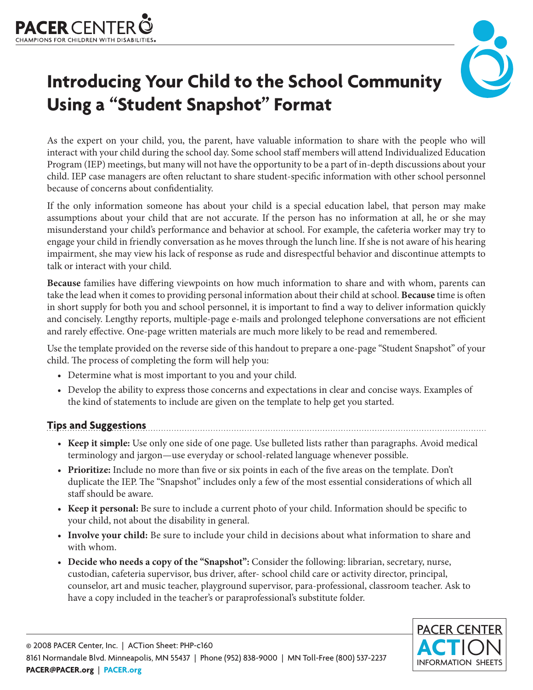



# **Introducing Your Child to the School Community Using a "Student Snapshot" Format**

As the expert on your child, you, the parent, have valuable information to share with the people who will interact with your child during the school day. Some school staff members will attend Individualized Education Program (IEP) meetings, but many will not have the opportunity to be a part of in-depth discussions about your child. IEP case managers are often reluctant to share student-specific information with other school personnel because of concerns about confidentiality.

If the only information someone has about your child is a special education label, that person may make assumptions about your child that are not accurate. If the person has no information at all, he or she may misunderstand your child's performance and behavior at school. For example, the cafeteria worker may try to engage your child in friendly conversation as he moves through the lunch line. If she is not aware of his hearing impairment, she may view his lack of response as rude and disrespectful behavior and discontinue attempts to talk or interact with your child.

**Because** families have differing viewpoints on how much information to share and with whom, parents can take the lead when it comes to providing personal information about their child at school. **Because** time is often in short supply for both you and school personnel, it is important to find a way to deliver information quickly and concisely. Lengthy reports, multiple-page e-mails and prolonged telephone conversations are not efficient and rarely effective. One-page written materials are much more likely to be read and remembered.

Use the template provided on the reverse side of this handout to prepare a one-page "Student Snapshot" of your child. The process of completing the form will help you:

- Determine what is most important to you and your child.
- Develop the ability to express those concerns and expectations in clear and concise ways. Examples of the kind of statements to include are given on the template to help get you started.

**Tips and Suggestions**

- **Keep it simple:** Use only one side of one page. Use bulleted lists rather than paragraphs. Avoid medical terminology and jargon—use everyday or school-related language whenever possible.
- **Prioritize:** Include no more than five or six points in each of the five areas on the template. Don't duplicate the IEP. The "Snapshot" includes only a few of the most essential considerations of which all staff should be aware.
- **Keep it personal:** Be sure to include a current photo of your child. Information should be specific to your child, not about the disability in general.
- **Involve your child:** Be sure to include your child in decisions about what information to share and with whom.
- **Decide who needs a copy of the "Snapshot":** Consider the following: librarian, secretary, nurse, custodian, cafeteria supervisor, bus driver, after- school child care or activity director, principal, counselor, art and music teacher, playground supervisor, para-professional, classroom teacher. Ask to have a copy included in the teacher's or paraprofessional's substitute folder.

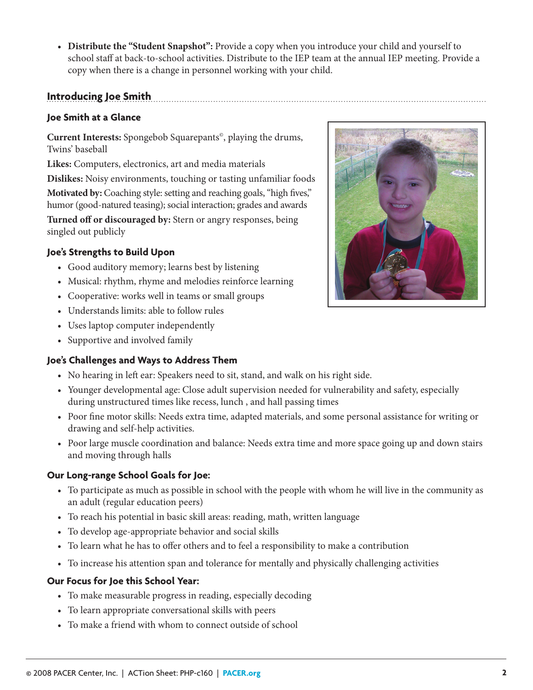• **Distribute the "Student Snapshot":** Provide a copy when you introduce your child and yourself to school staff at back-to-school activities. Distribute to the IEP team at the annual IEP meeting. Provide a copy when there is a change in personnel working with your child.

## **Introducing Joe Smith**

#### **Joe Smith at a Glance**

**Current Interests:** Spongebob Squarepants©, playing the drums, Twins' baseball

**Likes:** Computers, electronics, art and media materials

**Dislikes:** Noisy environments, touching or tasting unfamiliar foods **Motivated by:** Coaching style: setting and reaching goals, "high fives," humor (good-natured teasing); social interaction; grades and awards

**Turned off or discouraged by:** Stern or angry responses, being singled out publicly

#### **Joe's Strengths to Build Upon**

- Good auditory memory; learns best by listening
- Musical: rhythm, rhyme and melodies reinforce learning
- Cooperative: works well in teams or small groups
- Understands limits: able to follow rules
- Uses laptop computer independently
- Supportive and involved family

#### **Joe's Challenges and Ways to Address Them**

- No hearing in left ear: Speakers need to sit, stand, and walk on his right side.
- Younger developmental age: Close adult supervision needed for vulnerability and safety, especially during unstructured times like recess, lunch , and hall passing times
- Poor fine motor skills: Needs extra time, adapted materials, and some personal assistance for writing or drawing and self-help activities.
- Poor large muscle coordination and balance: Needs extra time and more space going up and down stairs and moving through halls

#### **Our Long-range School Goals for Joe:**

- To participate as much as possible in school with the people with whom he will live in the community as an adult (regular education peers)
- To reach his potential in basic skill areas: reading, math, written language
- To develop age-appropriate behavior and social skills
- To learn what he has to offer others and to feel a responsibility to make a contribution
- To increase his attention span and tolerance for mentally and physically challenging activities

#### **Our Focus for Joe this School Year:**

- To make measurable progress in reading, especially decoding
- To learn appropriate conversational skills with peers
- To make a friend with whom to connect outside of school